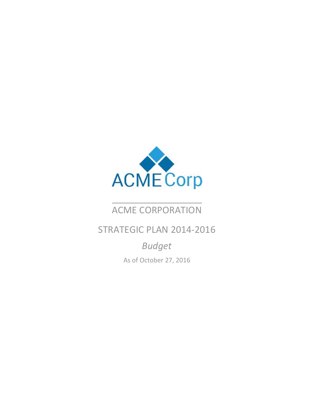

## ACME CORPORATION

## STRATEGIC PLAN 2014‐2016

*Budget* As of October 27, 2016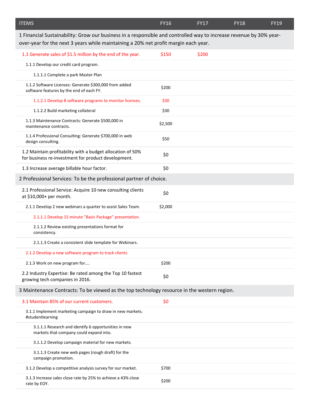| <b>ITEMS</b>                                                                                                                                                                                              | <b>FY16</b> | <b>FY17</b> | <b>FY18</b> | <b>FY19</b> |
|-----------------------------------------------------------------------------------------------------------------------------------------------------------------------------------------------------------|-------------|-------------|-------------|-------------|
| 1 Financial Sustainability: Grow our business in a responsible and controlled way to increase revenue by 30% year-<br>over-year for the next 3 years while maintaining a 20% net profit margin each year. |             |             |             |             |
| 1.1 Generate sales of \$1.5 million by the end of the year.                                                                                                                                               | \$150       | \$200       |             |             |
| 1.1.1 Develop our credit card program.                                                                                                                                                                    |             |             |             |             |
| 1.1.1.1 Complete a park Master Plan                                                                                                                                                                       |             |             |             |             |
| 1.1.2 Software Licenses: Generate \$300,000 from added<br>software features by the end of each FY.                                                                                                        | \$200       |             |             |             |
| 1.1.2.1 Develop 8 software programs to monitor licenses.                                                                                                                                                  | \$30        |             |             |             |
| 1.1.2.2 Build marketing collateral                                                                                                                                                                        | \$30        |             |             |             |
| 1.1.3 Maintenance Contracts: Generate \$500,000 in<br>maintenance contracts.                                                                                                                              | \$2,500     |             |             |             |
| 1.1.4 Professional Consulting: Generate \$700,000 in web<br>design consulting.                                                                                                                            | \$50        |             |             |             |
| 1.2 Maintain profitability with a budget allocation of 50%<br>for business re-investment for product development.                                                                                         | \$0         |             |             |             |
| 1.3 Increase average billable hour factor.                                                                                                                                                                | \$0         |             |             |             |
| 2 Professional Services: To be the professional partner of choice.                                                                                                                                        |             |             |             |             |
| 2.1 Professional Service: Acquire 10 new consulting clients<br>at \$10,000+ per month.                                                                                                                    | \$0         |             |             |             |
| 2.1.1 Develop 2 new webinars a quarter to assist Sales Team.                                                                                                                                              | \$2,000     |             |             |             |
| 2.1.1.1 Develop 15 minute "Basic Package" presentation.                                                                                                                                                   |             |             |             |             |
| 2.1.1.2 Review existing presentations format for<br>consistency.                                                                                                                                          |             |             |             |             |
| 2.1.1.3 Create a consistent slide template for Webinars.                                                                                                                                                  |             |             |             |             |
| 2.1.2 Develop a new software program to track clients                                                                                                                                                     |             |             |             |             |
| 2.1.3 Work on new program for                                                                                                                                                                             | \$200       |             |             |             |
| 2.2 Industry Expertise: Be rated among the Top 10 fastest<br>growing tech companies in 2016.                                                                                                              | \$0         |             |             |             |
| 3 Maintenance Contracts: To be viewed as the top technology resource in the western region.                                                                                                               |             |             |             |             |
| 3.1 Maintain 85% of our current customers.                                                                                                                                                                | \$0         |             |             |             |
| 3.1.1 Implement marketing campaign to draw in new markets.<br>#studentlearning                                                                                                                            |             |             |             |             |
| 3.1.1.1 Research and identify 6 opportunities in new<br>markets that company could expand into.                                                                                                           |             |             |             |             |
| 3.1.1.2 Develop campaign material for new markets.                                                                                                                                                        |             |             |             |             |
| 3.1.1.3 Create new web pages (rough draft) for the<br>campaign promotion.                                                                                                                                 |             |             |             |             |
| 3.1.2 Develop a competitive analysis survey for our market.                                                                                                                                               | \$700       |             |             |             |
| 3.1.3 Increase sales close rate by 25% to achieve a 43% close<br>rate by EOY.                                                                                                                             | \$200       |             |             |             |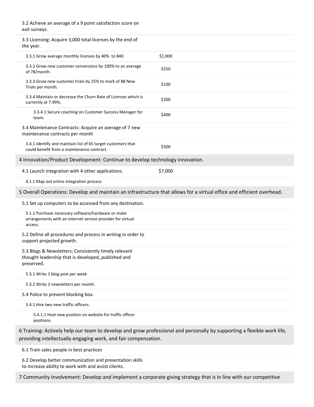| 3.2 Achieve an average of a 9 point satisfaction score on<br>exit surveys.                                                                                                               |         |  |  |
|------------------------------------------------------------------------------------------------------------------------------------------------------------------------------------------|---------|--|--|
| 3.3 Licensing: Acquire 3,000 total licenses by the end of<br>the year.                                                                                                                   |         |  |  |
| 3.3.1 Grow average monthly licenses by 40% to 840                                                                                                                                        | \$1,000 |  |  |
| 3.3.2 Grow new customer conversions by 100% to an average<br>of 78/month.                                                                                                                | \$250   |  |  |
| 3.3.3 Grow new customer trials by 25% to mark of 88 New<br>Trials per month.                                                                                                             | \$100   |  |  |
| 3.3.4 Maintain or decrease the Churn Rate of Licenses which is<br>currently at 7.99%.                                                                                                    | \$200   |  |  |
| 3.3.4.1 Secure coaching on Customer Success Manager for<br>team.                                                                                                                         | \$400   |  |  |
| 3.4 Maintenance Contracts: Acquire an average of 7 new<br>maintenance contracts per month                                                                                                |         |  |  |
| 3.4.1 Identify and maintain list of 65 target customers that<br>could benefit from a maintenance contract.                                                                               | \$300   |  |  |
| 4 Innovation/Product Development: Continue to develop technology innovation.                                                                                                             |         |  |  |
| 4.1 Launch integration with 4 other applications.                                                                                                                                        | \$7,000 |  |  |
| 4.1.1 Map out entire integration process                                                                                                                                                 |         |  |  |
| 5 Overall Operations: Develop and maintain an infrastructure that allows for a virtual office and efficient overhead.                                                                    |         |  |  |
| 5.1 Set up computers to be accessed from any destination.                                                                                                                                |         |  |  |
| 5.1.1 Purchase necessary software/hardware or make<br>arrangements with an internet service provider for virtual<br>access.                                                              |         |  |  |
| 5.2 Define all procedures and process in writing in order to<br>support projected growth.                                                                                                |         |  |  |
| 5.3 Blogs & Newsletters: Consistently timely relevant<br>thought leadership that is developed, published and<br>preserved.                                                               |         |  |  |
| 5.3.1 Write 1 blog post per week                                                                                                                                                         |         |  |  |
| 5.3.2 Write 2 newsletters per month.                                                                                                                                                     |         |  |  |
| 5.4 Police to prevent blocking box.                                                                                                                                                      |         |  |  |
| 5.4.1 Hire two new traffic officers.                                                                                                                                                     |         |  |  |
| 5.4.1.1 Host new position on website for traffic officer<br>positions.                                                                                                                   |         |  |  |
| 6 Training: Actively help our team to develop and grow professional and personally by supporting a flexible work life,<br>providing intellectually engaging work, and fair compensation. |         |  |  |
| 6.1 Train sales people in best practices                                                                                                                                                 |         |  |  |
| 6.2 Develop better communication and presentation skills<br>to increase ability to work with and assist clients.                                                                         |         |  |  |
| 7 Community Involvement: Develop and implement a corporate giving strategy that is in line with our competitive                                                                          |         |  |  |